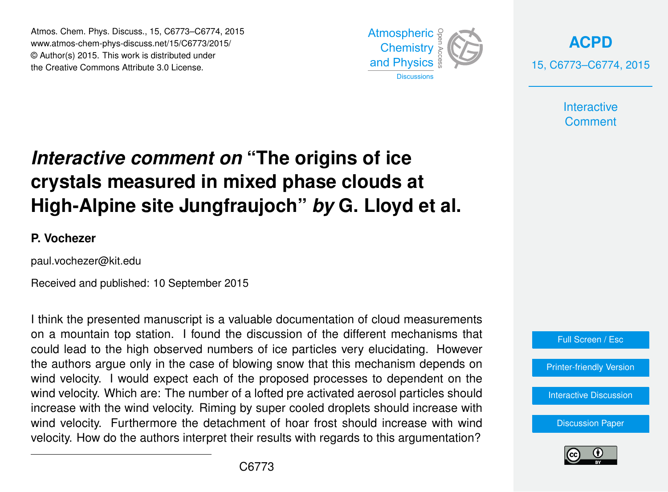Atmos. Chem. Phys. Discuss., 15, C6773–C6774, 2015 www.atmos-chem-phys-discuss.net/15/C6773/2015/ © Author(s) 2015. This work is distributed under the Creative Commons Attribute 3.0 License.



**[ACPD](http://www.atmos-chem-phys-discuss.net)** 15, C6773–C6774, 2015

> **Interactive Comment**

## *Interactive comment on* **"The origins of ice crystals measured in mixed phase clouds at High-Alpine site Jungfraujoch"** *by* **G. Lloyd et al.**

## **P. Vochezer**

paul.vochezer@kit.edu

Received and published: 10 September 2015

I think the presented manuscript is a valuable documentation of cloud measurements on a mountain top station. I found the discussion of the different mechanisms that could lead to the high observed numbers of ice particles very elucidating. However the authors argue only in the case of blowing snow that this mechanism depends on wind velocity. I would expect each of the proposed processes to dependent on the wind velocity. Which are: The number of a lofted pre activated aerosol particles should increase with the wind velocity. Riming by super cooled droplets should increase with wind velocity. Furthermore the detachment of hoar frost should increase with wind velocity. How do the authors interpret their results with regards to this argumentation?